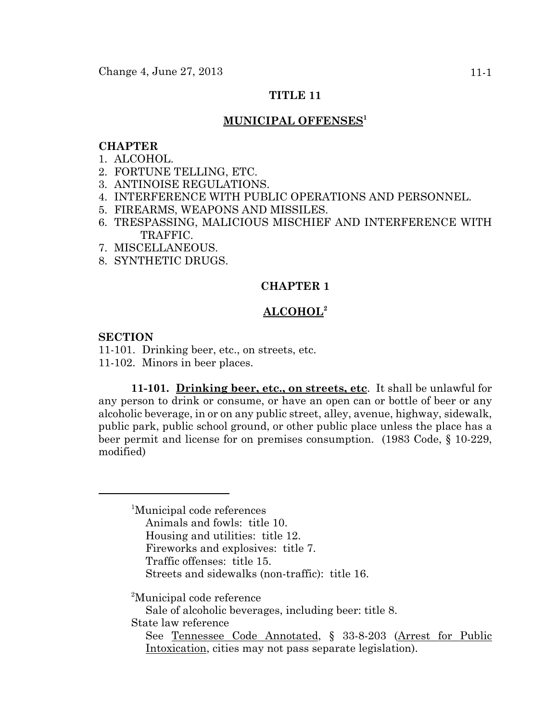# **TITLE 11**

## **MUNICIPAL OFFENSES1**

## **CHAPTER**

- 1. ALCOHOL.
- 2. FORTUNE TELLING, ETC.
- 3. ANTINOISE REGULATIONS.
- 4. INTERFERENCE WITH PUBLIC OPERATIONS AND PERSONNEL.
- 5. FIREARMS, WEAPONS AND MISSILES.
- 6. TRESPASSING, MALICIOUS MISCHIEF AND INTERFERENCE WITH TRAFFIC.
- 7. MISCELLANEOUS.
- 8. SYNTHETIC DRUGS.

## **CHAPTER 1**

## **ALCOHOL2**

## **SECTION**

11-101. Drinking beer, etc., on streets, etc. 11-102. Minors in beer places.

**11-101. Drinking beer, etc., on streets, etc**. It shall be unlawful for any person to drink or consume, or have an open can or bottle of beer or any alcoholic beverage, in or on any public street, alley, avenue, highway, sidewalk, public park, public school ground, or other public place unless the place has a beer permit and license for on premises consumption. (1983 Code, § 10-229, modified)

<sup>1</sup>Municipal code references Animals and fowls: title 10. Housing and utilities: title 12. Fireworks and explosives: title 7. Traffic offenses: title 15. Streets and sidewalks (non-traffic): title 16.

<sup>2</sup>Municipal code reference

Sale of alcoholic beverages, including beer: title 8.

State law reference

See Tennessee Code Annotated, § 33-8-203 (Arrest for Public Intoxication, cities may not pass separate legislation).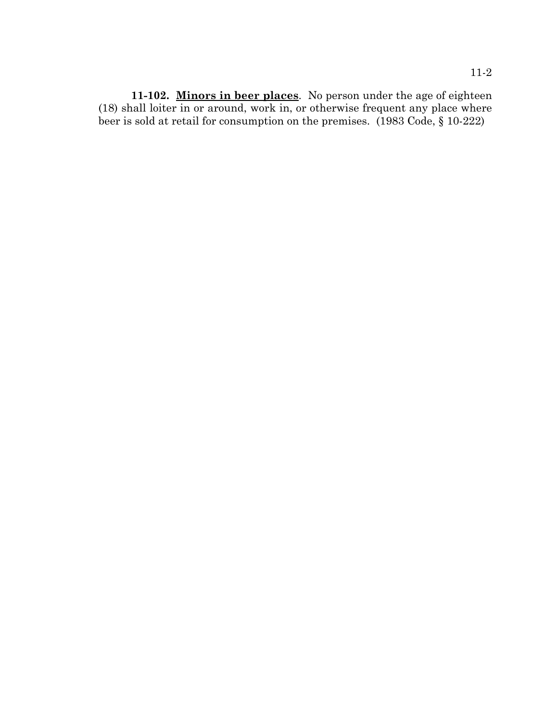**11-102. Minors in beer places**. No person under the age of eighteen (18) shall loiter in or around, work in, or otherwise frequent any place where beer is sold at retail for consumption on the premises. (1983 Code, § 10-222)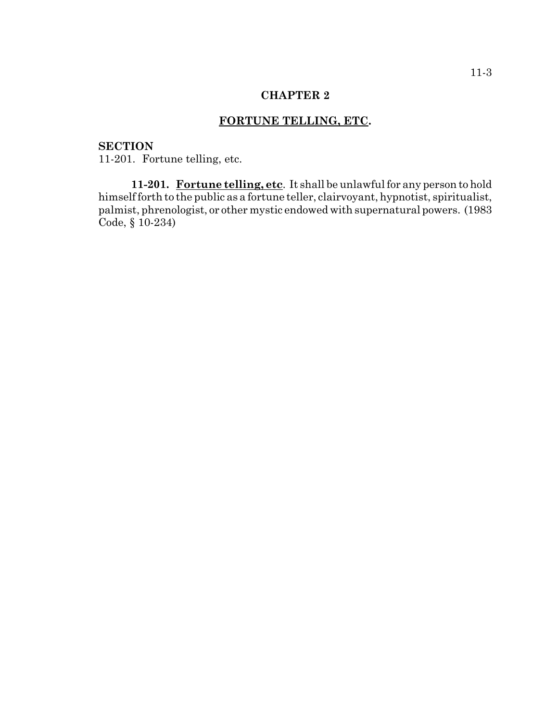# **FORTUNE TELLING, ETC.**

# **SECTION**

11-201. Fortune telling, etc.

**11-201. Fortune telling, etc**. It shall be unlawful for any person to hold himself forth to the public as a fortune teller, clairvoyant, hypnotist, spiritualist, palmist, phrenologist, or other mystic endowed with supernatural powers. (1983 Code, § 10-234)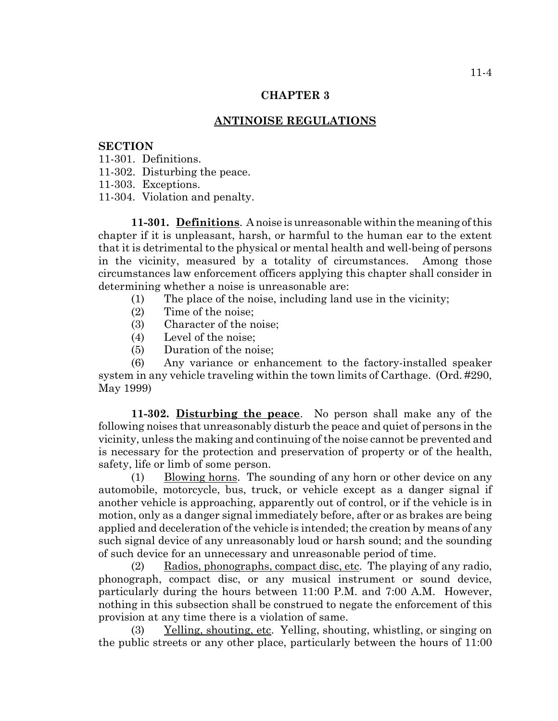#### **ANTINOISE REGULATIONS**

## **SECTION**

- 11-301. Definitions.
- 11-302. Disturbing the peace.
- 11-303. Exceptions.
- 11-304. Violation and penalty.

**11-301. Definitions**. A noise is unreasonable within the meaning of this chapter if it is unpleasant, harsh, or harmful to the human ear to the extent that it is detrimental to the physical or mental health and well-being of persons in the vicinity, measured by a totality of circumstances. Among those circumstances law enforcement officers applying this chapter shall consider in determining whether a noise is unreasonable are:

- (1) The place of the noise, including land use in the vicinity;
- (2) Time of the noise;
- (3) Character of the noise;
- (4) Level of the noise;
- (5) Duration of the noise;

(6) Any variance or enhancement to the factory-installed speaker system in any vehicle traveling within the town limits of Carthage. (Ord. #290, May 1999)

**11-302. Disturbing the peace**. No person shall make any of the following noises that unreasonably disturb the peace and quiet of persons in the vicinity, unless the making and continuing of the noise cannot be prevented and is necessary for the protection and preservation of property or of the health, safety, life or limb of some person.

(1) Blowing horns. The sounding of any horn or other device on any automobile, motorcycle, bus, truck, or vehicle except as a danger signal if another vehicle is approaching, apparently out of control, or if the vehicle is in motion, only as a danger signal immediately before, after or as brakes are being applied and deceleration of the vehicle is intended; the creation by means of any such signal device of any unreasonably loud or harsh sound; and the sounding of such device for an unnecessary and unreasonable period of time.

(2) Radios, phonographs, compact disc, etc. The playing of any radio, phonograph, compact disc, or any musical instrument or sound device, particularly during the hours between 11:00 P.M. and 7:00 A.M. However, nothing in this subsection shall be construed to negate the enforcement of this provision at any time there is a violation of same.

(3) Yelling, shouting, etc. Yelling, shouting, whistling, or singing on the public streets or any other place, particularly between the hours of 11:00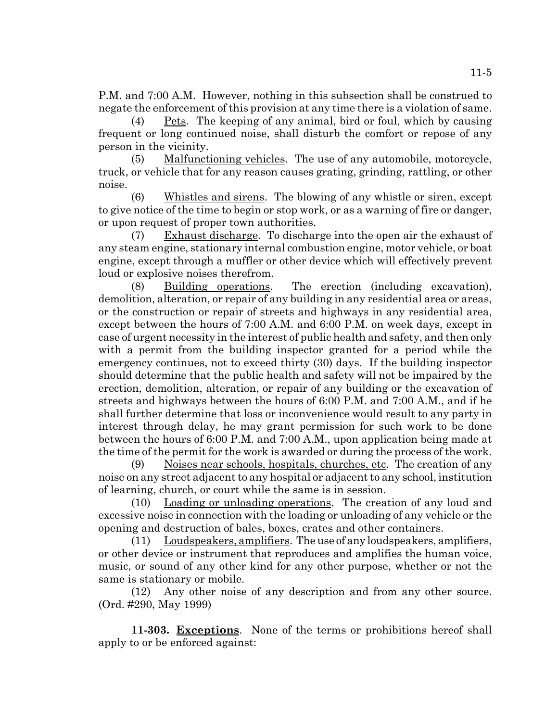P.M. and 7:00 A.M. However, nothing in this subsection shall be construed to negate the enforcement of this provision at any time there is a violation of same.

(4) Pets. The keeping of any animal, bird or foul, which by causing frequent or long continued noise, shall disturb the comfort or repose of any person in the vicinity.

(5) Malfunctioning vehicles. The use of any automobile, motorcycle, truck, or vehicle that for any reason causes grating, grinding, rattling, or other noise.

(6) Whistles and sirens. The blowing of any whistle or siren, except to give notice of the time to begin or stop work, or as a warning of fire or danger, or upon request of proper town authorities.

(7) Exhaust discharge. To discharge into the open air the exhaust of any steam engine, stationary internal combustion engine, motor vehicle, or boat engine, except through a muffler or other device which will effectively prevent loud or explosive noises therefrom.

(8) Building operations. The erection (including excavation), demolition, alteration, or repair of any building in any residential area or areas, or the construction or repair of streets and highways in any residential area, except between the hours of 7:00 A.M. and 6:00 P.M. on week days, except in case of urgent necessity in the interest of public health and safety, and then only with a permit from the building inspector granted for a period while the emergency continues, not to exceed thirty (30) days. If the building inspector should determine that the public health and safety will not be impaired by the erection, demolition, alteration, or repair of any building or the excavation of streets and highways between the hours of 6:00 P.M. and 7:00 A.M., and if he shall further determine that loss or inconvenience would result to any party in interest through delay, he may grant permission for such work to be done between the hours of 6:00 P.M. and 7:00 A.M., upon application being made at the time of the permit for the work is awarded or during the process of the work.

(9) Noises near schools, hospitals, churches, etc. The creation of any noise on any street adjacent to any hospital or adjacent to any school, institution of learning, church, or court while the same is in session.

(10) Loading or unloading operations. The creation of any loud and excessive noise in connection with the loading or unloading of any vehicle or the opening and destruction of bales, boxes, crates and other containers.

(11) Loudspeakers, amplifiers. The use of any loudspeakers, amplifiers, or other device or instrument that reproduces and amplifies the human voice, music, or sound of any other kind for any other purpose, whether or not the same is stationary or mobile.

(12) Any other noise of any description and from any other source. (Ord. #290, May 1999)

**11-303. Exceptions**. None of the terms or prohibitions hereof shall apply to or be enforced against: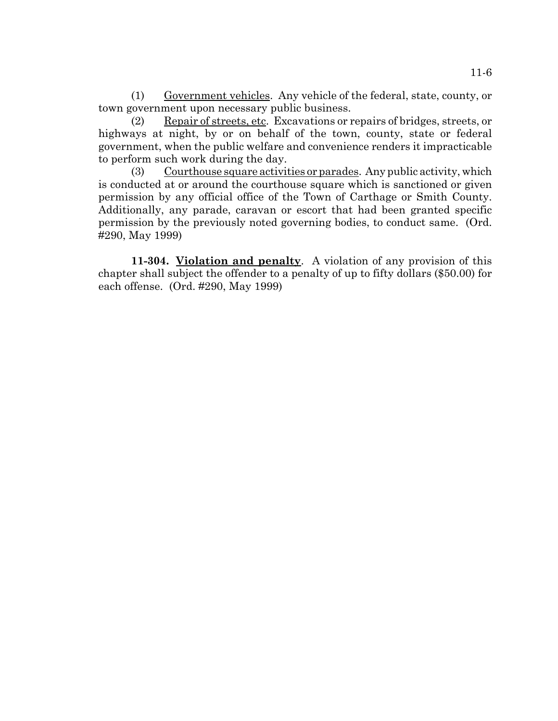(1) Government vehicles. Any vehicle of the federal, state, county, or town government upon necessary public business.

(2) Repair of streets, etc. Excavations or repairs of bridges, streets, or highways at night, by or on behalf of the town, county, state or federal government, when the public welfare and convenience renders it impracticable to perform such work during the day.

(3) Courthouse square activities or parades. Any public activity, which is conducted at or around the courthouse square which is sanctioned or given permission by any official office of the Town of Carthage or Smith County. Additionally, any parade, caravan or escort that had been granted specific permission by the previously noted governing bodies, to conduct same. (Ord. #290, May 1999)

**11-304. Violation and penalty**. A violation of any provision of this chapter shall subject the offender to a penalty of up to fifty dollars (\$50.00) for each offense. (Ord. #290, May 1999)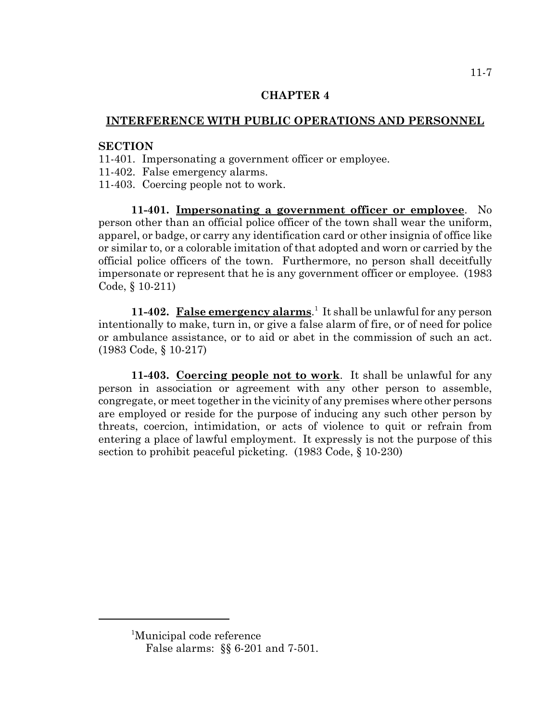# **INTERFERENCE WITH PUBLIC OPERATIONS AND PERSONNEL**

## **SECTION**

- 11-401. Impersonating a government officer or employee.
- 11-402. False emergency alarms.
- 11-403. Coercing people not to work.

**11-401. Impersonating a government officer or employee**. No person other than an official police officer of the town shall wear the uniform, apparel, or badge, or carry any identification card or other insignia of office like or similar to, or a colorable imitation of that adopted and worn or carried by the official police officers of the town. Furthermore, no person shall deceitfully impersonate or represent that he is any government officer or employee. (1983 Code, § 10-211)

11-402. False emergency alarms.<sup>1</sup> It shall be unlawful for any person intentionally to make, turn in, or give a false alarm of fire, or of need for police or ambulance assistance, or to aid or abet in the commission of such an act. (1983 Code, § 10-217)

**11-403. Coercing people not to work**. It shall be unlawful for any person in association or agreement with any other person to assemble, congregate, or meet together in the vicinity of any premises where other persons are employed or reside for the purpose of inducing any such other person by threats, coercion, intimidation, or acts of violence to quit or refrain from entering a place of lawful employment. It expressly is not the purpose of this section to prohibit peaceful picketing. (1983 Code, § 10-230)

11-7

<sup>1</sup> Municipal code reference

False alarms: §§ 6-201 and 7-501.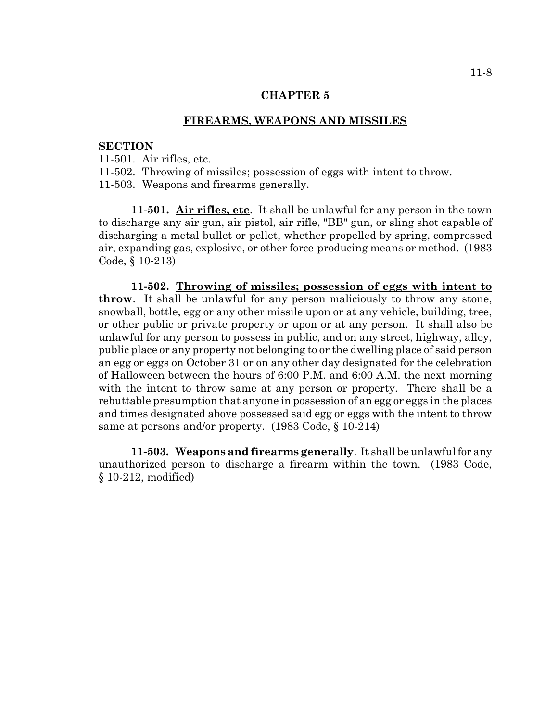### **FIREARMS, WEAPONS AND MISSILES**

## **SECTION**

11-501. Air rifles, etc.

11-502. Throwing of missiles; possession of eggs with intent to throw.

11-503. Weapons and firearms generally.

**11-501. Air rifles, etc**. It shall be unlawful for any person in the town to discharge any air gun, air pistol, air rifle, "BB" gun, or sling shot capable of discharging a metal bullet or pellet, whether propelled by spring, compressed air, expanding gas, explosive, or other force-producing means or method. (1983 Code, § 10-213)

**11-502. Throwing of missiles; possession of eggs with intent to throw**. It shall be unlawful for any person maliciously to throw any stone, snowball, bottle, egg or any other missile upon or at any vehicle, building, tree, or other public or private property or upon or at any person. It shall also be unlawful for any person to possess in public, and on any street, highway, alley, public place or any property not belonging to or the dwelling place of said person an egg or eggs on October 31 or on any other day designated for the celebration of Halloween between the hours of 6:00 P.M. and 6:00 A.M. the next morning with the intent to throw same at any person or property. There shall be a rebuttable presumption that anyone in possession of an egg or eggs in the places and times designated above possessed said egg or eggs with the intent to throw same at persons and/or property. (1983 Code, § 10-214)

**11-503. Weapons and firearms generally**. It shall be unlawful for any unauthorized person to discharge a firearm within the town. (1983 Code, § 10-212, modified)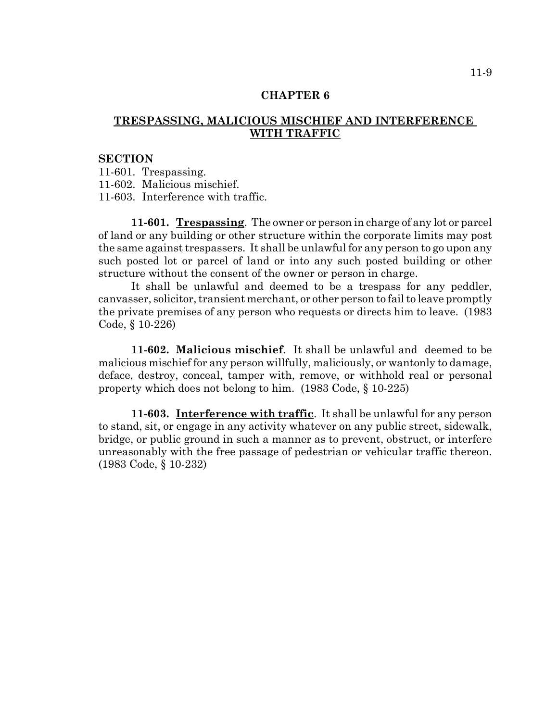# **TRESPASSING, MALICIOUS MISCHIEF AND INTERFERENCE WITH TRAFFIC**

#### **SECTION**

11-601. Trespassing.

11-602. Malicious mischief.

11-603. Interference with traffic.

**11-601. Trespassing**. The owner or person in charge of any lot or parcel of land or any building or other structure within the corporate limits may post the same against trespassers. It shall be unlawful for any person to go upon any such posted lot or parcel of land or into any such posted building or other structure without the consent of the owner or person in charge.

It shall be unlawful and deemed to be a trespass for any peddler, canvasser, solicitor, transient merchant, or other person to fail to leave promptly the private premises of any person who requests or directs him to leave. (1983 Code, § 10-226)

**11-602. Malicious mischief**. It shall be unlawful and deemed to be malicious mischief for any person willfully, maliciously, or wantonly to damage, deface, destroy, conceal, tamper with, remove, or withhold real or personal property which does not belong to him. (1983 Code, § 10-225)

**11-603. Interference with traffic**. It shall be unlawful for any person to stand, sit, or engage in any activity whatever on any public street, sidewalk, bridge, or public ground in such a manner as to prevent, obstruct, or interfere unreasonably with the free passage of pedestrian or vehicular traffic thereon. (1983 Code, § 10-232)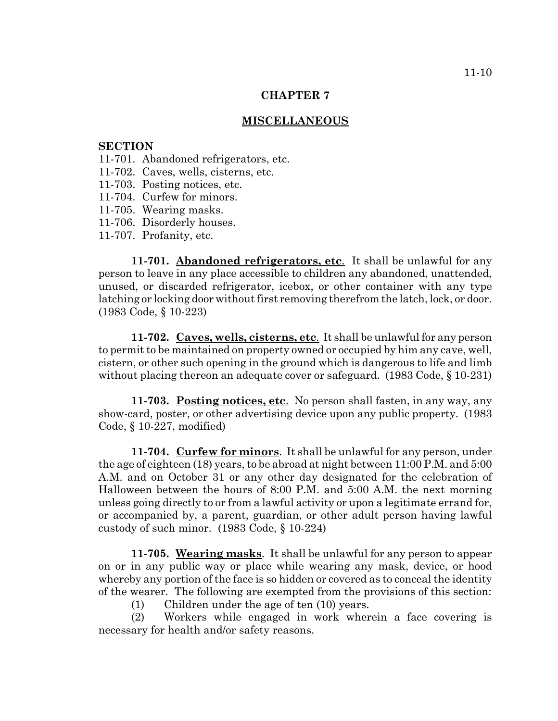#### **MISCELLANEOUS**

#### **SECTION**

- 11-701. Abandoned refrigerators, etc.
- 11-702. Caves, wells, cisterns, etc.
- 11-703. Posting notices, etc.
- 11-704. Curfew for minors.
- 11-705. Wearing masks.
- 11-706. Disorderly houses.
- 11-707. Profanity, etc.

**11-701. Abandoned refrigerators, etc**. It shall be unlawful for any person to leave in any place accessible to children any abandoned, unattended, unused, or discarded refrigerator, icebox, or other container with any type latching or locking door without first removing therefrom the latch, lock, or door. (1983 Code, § 10-223)

**11-702. Caves, wells, cisterns, etc**. It shall be unlawful for any person to permit to be maintained on property owned or occupied by him any cave, well, cistern, or other such opening in the ground which is dangerous to life and limb without placing thereon an adequate cover or safeguard. (1983 Code, § 10-231)

**11-703. Posting notices, etc**. No person shall fasten, in any way, any show-card, poster, or other advertising device upon any public property. (1983 Code, § 10-227, modified)

**11-704. Curfew for minors**. It shall be unlawful for any person, under the age of eighteen (18) years, to be abroad at night between 11:00 P.M. and 5:00 A.M. and on October 31 or any other day designated for the celebration of Halloween between the hours of 8:00 P.M. and 5:00 A.M. the next morning unless going directly to or from a lawful activity or upon a legitimate errand for, or accompanied by, a parent, guardian, or other adult person having lawful custody of such minor. (1983 Code, § 10-224)

**11-705. Wearing masks**. It shall be unlawful for any person to appear on or in any public way or place while wearing any mask, device, or hood whereby any portion of the face is so hidden or covered as to conceal the identity of the wearer. The following are exempted from the provisions of this section:

(1) Children under the age of ten (10) years.

(2) Workers while engaged in work wherein a face covering is necessary for health and/or safety reasons.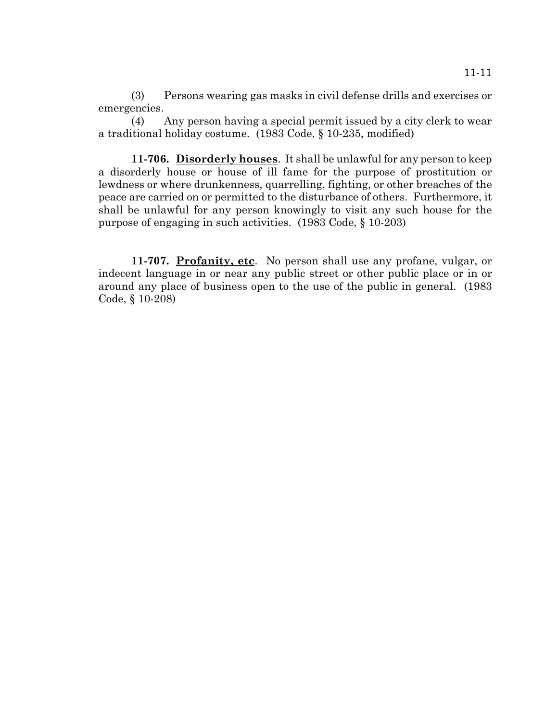(3) Persons wearing gas masks in civil defense drills and exercises or emergencies.

(4) Any person having a special permit issued by a city clerk to wear a traditional holiday costume. (1983 Code, § 10-235, modified)

**11-706. Disorderly houses**. It shall be unlawful for any person to keep a disorderly house or house of ill fame for the purpose of prostitution or lewdness or where drunkenness, quarrelling, fighting, or other breaches of the peace are carried on or permitted to the disturbance of others. Furthermore, it shall be unlawful for any person knowingly to visit any such house for the purpose of engaging in such activities. (1983 Code, § 10-203)

**11-707. Profanity, etc**. No person shall use any profane, vulgar, or indecent language in or near any public street or other public place or in or around any place of business open to the use of the public in general. (1983 Code, § 10-208)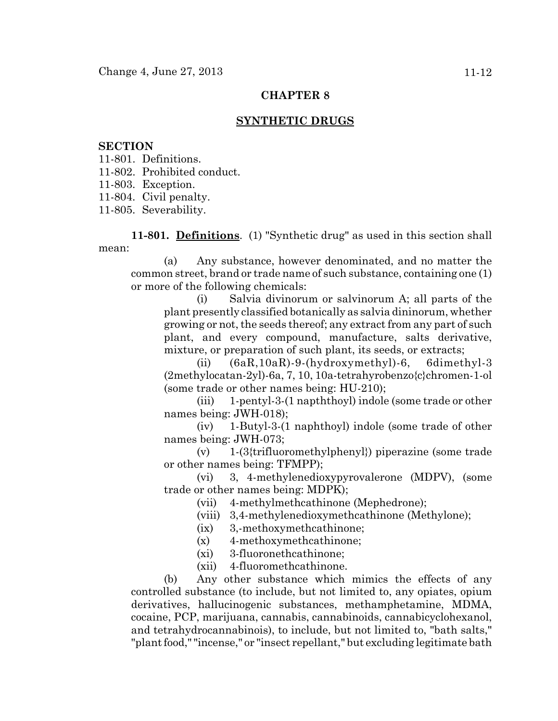## **SYNTHETIC DRUGS**

#### **SECTION**

- 11-801. Definitions.
- 11-802. Prohibited conduct.
- 11-803. Exception.
- 11-804. Civil penalty.

11-805. Severability.

**11-801. Definitions**. (1) "Synthetic drug" as used in this section shall mean:

(a) Any substance, however denominated, and no matter the common street, brand or trade name of such substance, containing one (1) or more of the following chemicals:

(i) Salvia divinorum or salvinorum A; all parts of the plant presently classified botanically as salvia dininorum, whether growing or not, the seeds thereof; any extract from any part of such plant, and every compound, manufacture, salts derivative, mixture, or preparation of such plant, its seeds, or extracts;

(ii) (6aR,10aR)-9-(hydroxymethyl)-6, 6dimethyl-3 (2methylocatan-2yl)-6a, 7, 10, 10a-tetrahyrobenzo{c}chromen-1-ol (some trade or other names being: HU-210);

(iii) 1-pentyl-3-(1 napththoyl) indole (some trade or other names being: JWH-018);

(iv) 1-Butyl-3-(1 naphthoyl) indole (some trade of other names being: JWH-073;

(v) 1-(3{trifluoromethylphenyl}) piperazine (some trade or other names being: TFMPP);

(vi) 3, 4-methylenedioxypyrovalerone (MDPV), (some trade or other names being: MDPK);

- (vii) 4-methylmethcathinone (Mephedrone);
- (viii) 3,4-methylenedioxymethcathinone (Methylone);
- (ix) 3,-methoxymethcathinone;
- (x) 4-methoxymethcathinone;
- (xi) 3-fluoronethcathinone;
- (xii) 4-fluoromethcathinone.

(b) Any other substance which mimics the effects of any controlled substance (to include, but not limited to, any opiates, opium derivatives, hallucinogenic substances, methamphetamine, MDMA, cocaine, PCP, marijuana, cannabis, cannabinoids, cannabicyclohexanol, and tetrahydrocannabinois), to include, but not limited to, "bath salts," "plant food," "incense," or "insect repellant," but excluding legitimate bath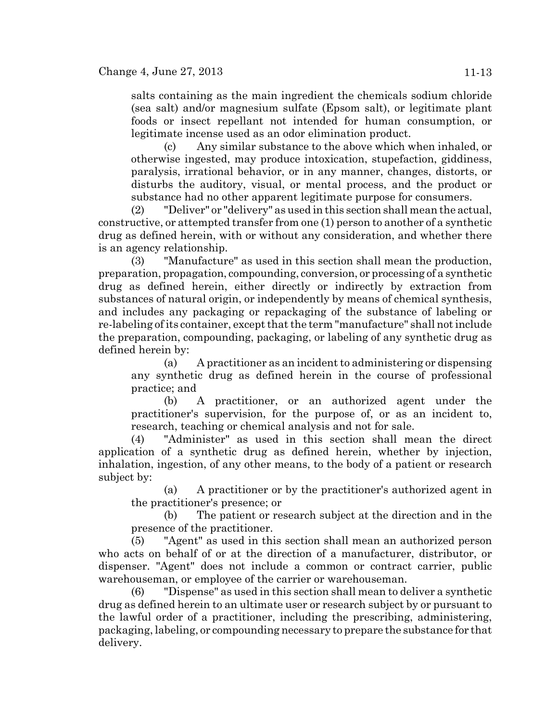salts containing as the main ingredient the chemicals sodium chloride (sea salt) and/or magnesium sulfate (Epsom salt), or legitimate plant foods or insect repellant not intended for human consumption, or legitimate incense used as an odor elimination product.

(c) Any similar substance to the above which when inhaled, or otherwise ingested, may produce intoxication, stupefaction, giddiness, paralysis, irrational behavior, or in any manner, changes, distorts, or disturbs the auditory, visual, or mental process, and the product or substance had no other apparent legitimate purpose for consumers.

(2) "Deliver" or "delivery" as used in this section shall mean the actual, constructive, or attempted transfer from one (1) person to another of a synthetic drug as defined herein, with or without any consideration, and whether there is an agency relationship.

(3) "Manufacture" as used in this section shall mean the production, preparation, propagation, compounding, conversion, or processing of a synthetic drug as defined herein, either directly or indirectly by extraction from substances of natural origin, or independently by means of chemical synthesis, and includes any packaging or repackaging of the substance of labeling or re-labeling of its container, except that the term "manufacture" shall not include the preparation, compounding, packaging, or labeling of any synthetic drug as defined herein by:

(a) A practitioner as an incident to administering or dispensing any synthetic drug as defined herein in the course of professional practice; and

(b) A practitioner, or an authorized agent under the practitioner's supervision, for the purpose of, or as an incident to, research, teaching or chemical analysis and not for sale.

(4) "Administer" as used in this section shall mean the direct application of a synthetic drug as defined herein, whether by injection, inhalation, ingestion, of any other means, to the body of a patient or research subject by:

(a) A practitioner or by the practitioner's authorized agent in the practitioner's presence; or

(b) The patient or research subject at the direction and in the presence of the practitioner.

(5) "Agent" as used in this section shall mean an authorized person who acts on behalf of or at the direction of a manufacturer, distributor, or dispenser. "Agent" does not include a common or contract carrier, public warehouseman, or employee of the carrier or warehouseman.

(6) "Dispense" as used in this section shall mean to deliver a synthetic drug as defined herein to an ultimate user or research subject by or pursuant to the lawful order of a practitioner, including the prescribing, administering, packaging, labeling, or compounding necessary to prepare the substance for that delivery.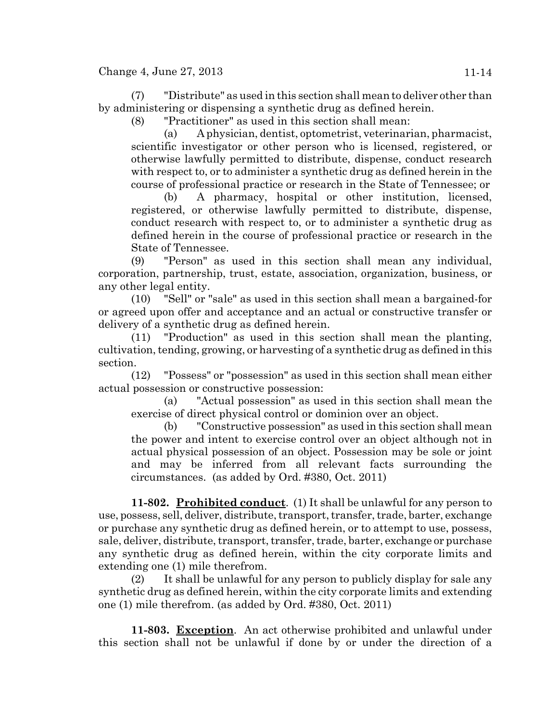(7) "Distribute" as used in this section shall mean to deliver other than by administering or dispensing a synthetic drug as defined herein.

(8) "Practitioner" as used in this section shall mean:

(a) A physician, dentist, optometrist, veterinarian, pharmacist, scientific investigator or other person who is licensed, registered, or otherwise lawfully permitted to distribute, dispense, conduct research with respect to, or to administer a synthetic drug as defined herein in the course of professional practice or research in the State of Tennessee; or

(b) A pharmacy, hospital or other institution, licensed, registered, or otherwise lawfully permitted to distribute, dispense, conduct research with respect to, or to administer a synthetic drug as defined herein in the course of professional practice or research in the State of Tennessee.

(9) "Person" as used in this section shall mean any individual, corporation, partnership, trust, estate, association, organization, business, or any other legal entity.

(10) "Sell" or "sale" as used in this section shall mean a bargained-for or agreed upon offer and acceptance and an actual or constructive transfer or delivery of a synthetic drug as defined herein.

(11) "Production" as used in this section shall mean the planting, cultivation, tending, growing, or harvesting of a synthetic drug as defined in this section.

(12) "Possess" or "possession" as used in this section shall mean either actual possession or constructive possession:

(a) "Actual possession" as used in this section shall mean the exercise of direct physical control or dominion over an object.

(b) "Constructive possession" as used in this section shall mean the power and intent to exercise control over an object although not in actual physical possession of an object. Possession may be sole or joint and may be inferred from all relevant facts surrounding the circumstances. (as added by Ord. #380, Oct. 2011)

**11-802. Prohibited conduct**. (1) It shall be unlawful for any person to use, possess, sell, deliver, distribute, transport, transfer, trade, barter, exchange or purchase any synthetic drug as defined herein, or to attempt to use, possess, sale, deliver, distribute, transport, transfer, trade, barter, exchange or purchase any synthetic drug as defined herein, within the city corporate limits and extending one (1) mile therefrom.

(2) It shall be unlawful for any person to publicly display for sale any synthetic drug as defined herein, within the city corporate limits and extending one (1) mile therefrom. (as added by Ord. #380, Oct. 2011)

**11-803. Exception**. An act otherwise prohibited and unlawful under this section shall not be unlawful if done by or under the direction of a